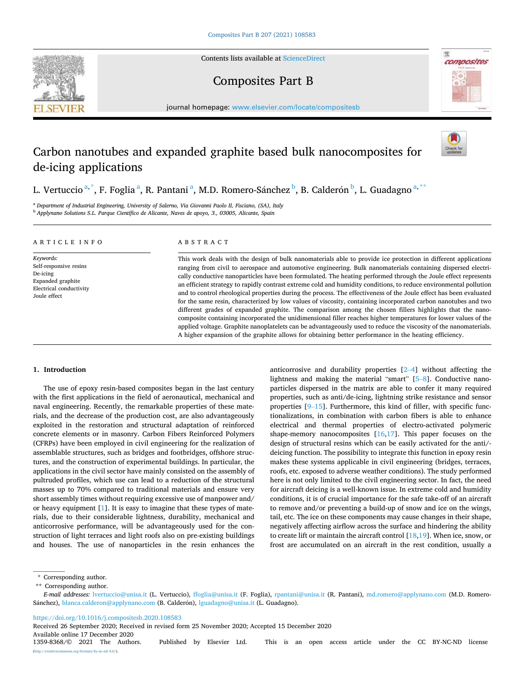Contents lists available at [ScienceDirect](www.sciencedirect.com/science/journal/13598368)

# **SEVIER**



Composites Part B

journal homepage: [www.elsevier.com/locate/compositesb](https://www.elsevier.com/locate/compositesb)

# Carbon nanotubes and expanded graphite based bulk nanocomposites for de-icing applications



L. Vertuccio <sup>a,\*</sup>, F. Foglia <sup>a</sup>, R. Pantani <sup>a</sup>, M.D. Romero-Sánchez <sup>b</sup>, B. Calderón <sup>b</sup>, L. Guadagno <sup>a,\*\*</sup>

<sup>a</sup> *Department of Industrial Engineering, University of Salerno, Via Giovanni Paolo II, Fisciano, (SA), Italy* <sup>b</sup> *Applynano Solutions S.L. Parque Científico de Alicante, Naves de apoyo, 3., 03005, Alicante, Spain* 

# ARTICLE INFO

*Keywords:*  Self-responsive resins De-icing Expanded graphite Electrical conductivity Joule effect

# ABSTRACT

This work deals with the design of bulk nanomaterials able to provide ice protection in different applications ranging from civil to aerospace and automotive engineering. Bulk nanomaterials containing dispersed electrically conductive nanoparticles have been formulated. The heating performed through the Joule effect represents an efficient strategy to rapidly contrast extreme cold and humidity conditions, to reduce environmental pollution and to control rheological properties during the process. The effectiveness of the Joule effect has been evaluated for the same resin, characterized by low values of viscosity, containing incorporated carbon nanotubes and two different grades of expanded graphite. The comparison among the chosen fillers highlights that the nanocomposite containing incorporated the unidimensional filler reaches higher temperatures for lower values of the applied voltage. Graphite nanoplatelets can be advantageously used to reduce the viscosity of the nanomaterials. A higher expansion of the graphite allows for obtaining better performance in the heating efficiency.

# **1. Introduction**

The use of epoxy resin-based composites began in the last century with the first applications in the field of aeronautical, mechanical and naval engineering. Recently, the remarkable properties of these materials, and the decrease of the production cost, are also advantageously exploited in the restoration and structural adaptation of reinforced concrete elements or in masonry. Carbon Fibers Reinforced Polymers (CFRPs) have been employed in civil engineering for the realization of assemblable structures, such as bridges and footbridges, offshore structures, and the construction of experimental buildings. In particular, the applications in the civil sector have mainly consisted on the assembly of pultruded profiles, which use can lead to a reduction of the structural masses up to 70% compared to traditional materials and ensure very short assembly times without requiring excessive use of manpower and/ or heavy equipment [\[1\]](#page-11-0). It is easy to imagine that these types of materials, due to their considerable lightness, durability, mechanical and anticorrosive performance, will be advantageously used for the construction of light terraces and light roofs also on pre-existing buildings and houses. The use of nanoparticles in the resin enhances the anticorrosive and durability properties [2–[4\]](#page-11-0) without affecting the lightness and making the material "smart" [\[5](#page-12-0)–8]. Conductive nanoparticles dispersed in the matrix are able to confer it many required properties, such as anti/de-icing, lightning strike resistance and sensor properties [9–[15](#page-12-0)]. Furthermore, this kind of filler, with specific functionalizations, in combination with carbon fibers is able to enhance electrical and thermal properties of electro-activated polymeric shape-memory nanocomposites  $[16,17]$  $[16,17]$ . This paper focuses on the design of structural resins which can be easily activated for the anti/deicing function. The possibility to integrate this function in epoxy resin makes these systems applicable in civil engineering (bridges, terraces, roofs, etc. exposed to adverse weather conditions). The study performed here is not only limited to the civil engineering sector. In fact, the need for aircraft deicing is a well-known issue. In extreme cold and humidity conditions, it is of crucial importance for the safe take-off of an aircraft to remove and/or preventing a build-up of snow and ice on the wings, tail, etc. The ice on these components may cause changes in their shape, negatively affecting airflow across the surface and hindering the ability to create lift or maintain the aircraft control  $[18,19]$  $[18,19]$  $[18,19]$ . When ice, snow, or frost are accumulated on an aircraft in the rest condition, usually a

\* Corresponding author.

<https://doi.org/10.1016/j.compositesb.2020.108583>

Available online 17 December 2020<br>1359-8368/© 2021 The Authors. Received 26 September 2020; Received in revised form 25 November 2020; Accepted 15 December 2020

<sup>\*\*</sup> Corresponding author.

*E-mail addresses:* [lvertuccio@unisa.it](mailto:lvertuccio@unisa.it) (L. Vertuccio), [ffoglia@unisa.it](mailto:ffoglia@unisa.it) (F. Foglia), [rpantani@unisa.it](mailto:rpantani@unisa.it) (R. Pantani), [md.romero@applynano.com](mailto:md.romero@applynano.com) (M.D. RomeroSánchez), [blanca.calderon@applynano.com](mailto:blanca.calderon@applynano.com) (B. Calderón), [lguadagno@unisa.it](mailto:lguadagno@unisa.it) (L. Guadagno).

<sup>1359-8368/© 2021</sup> The Authors. Published by Elsevier Ltd. This is an open access article under the CC BY-NC-ND license  $-nc-nd/4.0/$ ).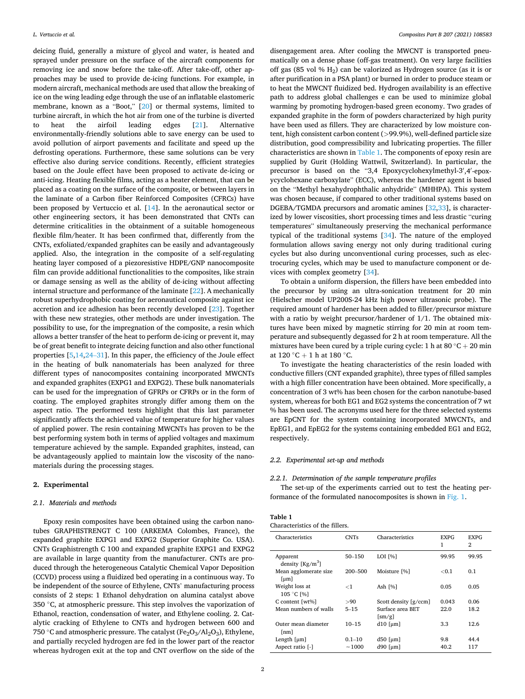<span id="page-1-0"></span>deicing fluid, generally a mixture of glycol and water, is heated and sprayed under pressure on the surface of the aircraft components for removing ice and snow before the take-off. After take-off, other approaches may be used to provide de-icing functions. For example, in modern aircraft, mechanical methods are used that allow the breaking of ice on the wing leading edge through the use of an inflatable elastomeric membrane, known as a "Boot," [[20\]](#page-12-0) or thermal systems, limited to turbine aircraft, in which the hot air from one of the turbine is diverted to heat the airfoil leading edges [\[21](#page-12-0)]. Alternative environmentally-friendly solutions able to save energy can be used to avoid pollution of airport pavements and facilitate and speed up the defrosting operations. Furthermore, these same solutions can be very effective also during service conditions. Recently, efficient strategies based on the Joule effect have been proposed to activate de-icing or anti-icing. Heating flexible films, acting as a heater element, that can be placed as a coating on the surface of the composite, or between layers in the laminate of a Carbon fiber Reinforced Composites (CFRCs) have been proposed by Vertuccio et al. [\[14](#page-12-0)]. In the aeronautical sector or other engineering sectors, it has been demonstrated that CNTs can determine criticalities in the obtainment of a suitable homogeneous flexible film/heater. It has been confirmed that, differently from the CNTs, exfoliated/expanded graphites can be easily and advantageously applied. Also, the integration in the composite of a self-regulating heating layer composed of a piezoresistive HDPE/GNP nanocomposite film can provide additional functionalities to the composites, like strain or damage sensing as well as the ability of de-icing without affecting internal structure and performance of the laminate [[22\]](#page-12-0). A mechanically robust superhydrophobic coating for aeronautical composite against ice accretion and ice adhesion has been recently developed [\[23](#page-12-0)]. Together with these new strategies, other methods are under investigation. The possibility to use, for the impregnation of the composite, a resin which allows a better transfer of the heat to perform de-icing or prevent it, may be of great benefit to integrate deicing function and also other functional properties [[5](#page-12-0),[14,](#page-12-0)24–[31\]](#page-12-0). In this paper, the efficiency of the Joule effect in the heating of bulk nanomaterials has been analyzed for three different types of nanocomposites containing incorporated MWCNTs and expanded graphites (EXPG1 and EXPG2). These bulk nanomaterials can be used for the impregnation of GFRPs or CFRPs or in the form of coating. The employed graphites strongly differ among them on the aspect ratio. The performed tests highlight that this last parameter significantly affects the achieved value of temperature for higher values of applied power. The resin containing MWCNTs has proven to be the best performing system both in terms of applied voltages and maximum temperature achieved by the sample. Expanded graphites, instead, can be advantageously applied to maintain low the viscosity of the nanomaterials during the processing stages.

# **2. Experimental**

#### *2.1. Materials and methods*

Epoxy resin composites have been obtained using the carbon nanotubes GRAPHISTRENGT C 100 (ARKEMA Colombes, France), the expanded graphite EXPG1 and EXPG2 (Superior Graphite Co. USA). CNTs Graphistrength C 100 and expanded graphite EXPG1 and EXPG2 are available in large quantity from the manufacturer. CNTs are produced through the heterogeneous Catalytic Chemical Vapor Deposition (CCVD) process using a fluidized bed operating in a continuous way. To be independent of the source of Ethylene, CNTs' manufacturing process consists of 2 steps: 1 Ethanol dehydration on alumina catalyst above 350 ◦C, at atmospheric pressure. This step involves the vaporization of Ethanol, reaction, condensation of water, and Ethylene cooling. 2. Catalytic cracking of Ethylene to CNTs and hydrogen between 600 and 750 °C and atmospheric pressure. The catalyst ( $Fe<sub>2</sub>O<sub>3</sub>/Al<sub>2</sub>O<sub>3</sub>$ ), Ethylene, and partially recycled hydrogen are fed in the lower part of the reactor whereas hydrogen exit at the top and CNT overflow on the side of the

disengagement area. After cooling the MWCNT is transported pneumatically on a dense phase (off-gas treatment). On very large facilities off gas (85 vol %  $H_2$ ) can be valorized as Hydrogen source (as it is or after purification in a PSA plant) or burned in order to produce steam or to heat the MWCNT fluidized bed. Hydrogen availability is an effective path to address global challenges e can be used to minimize global warming by promoting hydrogen-based green economy. Two grades of expanded graphite in the form of powders characterized by high purity have been used as fillers. They are characterized by low moisture content, high consistent carbon content (*>*99.9%), well-defined particle size distribution, good compressibility and lubricating properties. The filler characteristics are shown in Table 1. The components of epoxy resin are supplied by Gurit (Holding Wattwil, Switzerland). In particular, the precursor is based on the "3,4 Epoxycyclohexylmethyl-3',4'-epoxycyclohexane carboxylate" (ECC), whereas the hardener agent is based on the "Methyl hexahydrophthalic anhydride" (MHHPA). This system was chosen because, if compared to other traditional systems based on DGEBA/TGMDA precursors and aromatic amines [[32,33](#page-12-0)], is characterized by lower viscosities, short processing times and less drastic "curing temperatures" simultaneously preserving the mechanical performance typical of the traditional systems [\[34](#page-12-0)]. The nature of the employed formulation allows saving energy not only during traditional curing cycles but also during unconventional curing processes, such as electrocuring cycles, which may be used to manufacture component or devices with complex geometry [[34\]](#page-12-0).

To obtain a uniform dispersion, the fillers have been embedded into the precursor by using an ultra-sonication treatment for 20 min (Hielscher model UP200S-24 kHz high power ultrasonic probe). The required amount of hardener has been added to filler/precursor mixture with a ratio by weight precursor/hardener of 1/1. The obtained mixtures have been mixed by magnetic stirring for 20 min at room temperature and subsequently degassed for 2 h at room temperature. All the mixtures have been cured by a triple curing cycle: 1 h at 80  $\degree$ C + 20 min at 120 °C + 1 h at 180 °C.

To investigate the heating characteristics of the resin loaded with conductive fillers (CNT expanded graphite), three types of filled samples with a high filler concentration have been obtained. More specifically, a concentration of 3 wt% has been chosen for the carbon nanotube-based system, whereas for both EG1 and EG2 systems the concentration of 7 wt % has been used. The acronyms used here for the three selected systems are EpCNT for the system containing incorporated MWCNTs, and EpEG1, and EpEG2 for the systems containing embedded EG1 and EG2, respectively.

#### *2.2. Experimental set-up and methods*

# *2.2.1. Determination of the sample temperature profiles*

The set-up of the experiments carried out to test the heating performance of the formulated nanocomposites is shown in [Fig. 1.](#page-2-0)

| Characteristics of the fillers. |  |  |
|---------------------------------|--|--|
|---------------------------------|--|--|

| Characteristics                                | <b>CNTs</b> | Characteristics                                               | <b>EXPG</b><br>1 | <b>EXPG</b><br>2 |
|------------------------------------------------|-------------|---------------------------------------------------------------|------------------|------------------|
| Apparent<br>density $[Kg/m^3]$                 | $50 - 150$  | LOI [%]                                                       | 99.95            | 99.95            |
| Mean agglomerate size<br>$\lceil \mu m \rceil$ | 200-500     | Moisture [%]                                                  | < 0.1            | 0.1              |
| Weight loss at<br>105 °C [%]                   | ${<}1$      | Ash [%]                                                       | 0.05             | 0.05             |
| C content [wt%]                                | >90         | Scott density [g/ccm]                                         | 0.043            | 0.06             |
| Mean numbers of walls                          | $5 - 15$    | Surface area BET<br>$\left[\frac{\text{sm}}{\text{g}}\right]$ | 22.0             | 18.2             |
| Outer mean diameter<br>[nm]                    | $10 - 15$   | $d10$ [ $\mu$ m]                                              | 3.3              | 12.6             |
| Length $[µm]$                                  | $0.1 - 10$  | $d50$ [ $\mu$ m]                                              | 9.8              | 44.4             |
| Aspect ratio [-]                               | ~1000       | $d90$ [ $\mu$ m]                                              | 40.2             | 117              |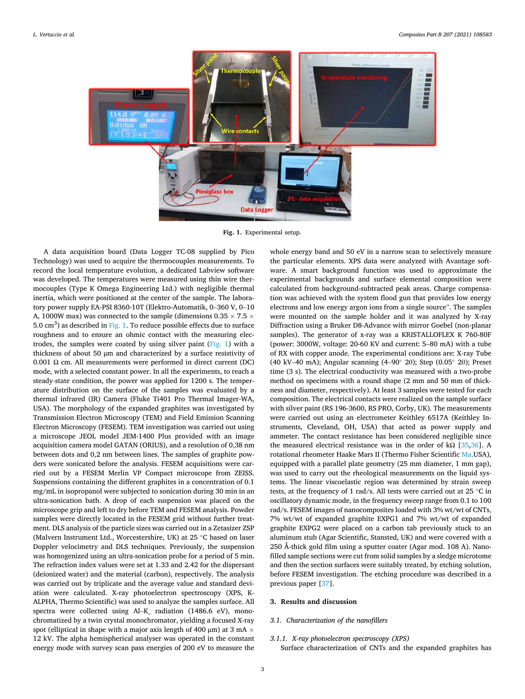<span id="page-2-0"></span>

**Fig. 1.** Experimental setup.

A data acquisition board (Data Logger TC-08 supplied by Pico Technology) was used to acquire the thermocouples measurements. To record the local temperature evolution, a dedicated Labview software was developed. The temperatures were measured using thin wire thermocouples (Type K Omega Engineering Ltd.) with negligible thermal inertia, which were positioned at the center of the sample. The laboratory power supply EA-PSI 8360-10T (Elektro-Automatik, 0–360 V, 0–10 A, 1000W max) was connected to the sample (dimensions 0.35  $\times$  7.5  $\times$ 5.0  $\text{cm}^3$ ) as described in Fig. 1. To reduce possible effects due to surface roughness and to ensure an ohmic contact with the measuring electrodes, the samples were coated by using silver paint  $(Fig. 1)$  with a thickness of about 50 μm and characterized by a surface resistivity of 0.001 Ω cm. All measurements were performed in direct current (DC) mode, with a selected constant power. In all the experiments, to reach a steady-state condition, the power was applied for 1200 s. The temperature distribution on the surface of the samples was evaluated by a thermal infrared (IR) Camera (Fluke Ti401 Pro Thermal Imager-WA, USA). The morphology of the expanded graphites was investigated by Transmission Electron Microscopy (TEM) and Field Emission Scanning Electron Microscopy (FESEM). TEM investigation was carried out using a microscope JEOL model JEM-1400 Plus provided with an image acquisition camera model GATAN (ORIUS), and a resolution of 0,38 nm between dots and 0,2 nm between lines. The samples of graphite powders were sonicated before the analysis. FESEM acquisitions were carried out by a FESEM Merlin VP Compact microscope from ZEISS. Suspensions containing the different graphites in a concentration of 0.1 mg/mL in isopropanol were subjected to sonication during 30 min in an ultra-sonication bath. A drop of each suspension was placed on the microscope grip and left to dry before TEM and FESEM analysis. Powder samples were directly located in the FESEM grid without further treatment. DLS analysis of the particle sizes was carried out in a Zetasizer ZSP (Malvern Instrument Ltd., Worcestershire, UK) at 25 ◦C based on laser Doppler velocimetry and DLS techniques. Previously, the suspension was homogenized using an ultra-sonication probe for a period of 5 min. The refraction index values were set at 1.33 and 2.42 for the dispersant (deionized water) and the material (carbon), respectively. The analysis was carried out by triplicate and the average value and standard deviation were calculated. X-ray photoelectron spectroscopy (XPS, K-ALPHA, Thermo Scientific) was used to analyze the samples surface. All spectra were collected using Al–K\_ radiation (1486.6 eV), monochromatized by a twin crystal monochromator, yielding a focused X-ray spot (elliptical in shape with a major axis length of 400  $\mu$ m) at 3 mA  $\times$ 12 kV. The alpha hemispherical analyser was operated in the constant energy mode with survey scan pass energies of 200 eV to measure the

whole energy band and 50 eV in a narrow scan to selectively measure the particular elements. XPS data were analyzed with Avantage software. A smart background function was used to approximate the experimental backgrounds and surface elemental composition were calculated from background-subtracted peak areas. Charge compensation was achieved with the system flood gun that provides low energy electrons and low energy argon ions from a single source". The samples were mounted on the sample holder and it was analyzed by X-ray Diffraction using a Bruker D8-Advance with mirror Goebel (non-planar samples). The generator of x-ray was a KRISTALLOFLEX K 760-80F (power: 3000W, voltage: 20-60 KV and current: 5–80 mA) with a tube of RX with copper anode. The experimental conditions are: X-ray Tube (40 kV–40 mA); Angular scanning (4–90◦ 2θ); Step (0.05◦ 2θ); Preset time (3 s). The electrical conductivity was measured with a two-probe method on specimens with a round shape (2 mm and 50 mm of thickness and diameter, respectively). At least 3 samples were tested for each composition. The electrical contacts were realized on the sample surface with silver paint (RS 196-3600, RS PRO, Corby, UK). The measurements were carried out using an electrometer Keithley 6517A (Keithley Instruments, Cleveland, OH, USA) that acted as power supply and ammeter. The contact resistance has been considered negligible since the measured electrical resistance was in the order of kΩ [\[35,36](#page-12-0)]. A rotational rheometer Haake Mars II (Thermo Fisher Scientific [Ma,](https://www.google.it/search?q=Waltham&stick=H4sIAAAAAAAAAOPgE-LSz9U3MCooMTBJU-IAsTOqjE21tLKTrfTzi9IT8zKrEksy8_NQOFYZqYkphaWJRSWpRcWLWNnDE3NKMhJzd7AyAgDThZNCUQAAAA&sa=X&ved=2ahUKEwjX0bHP94HsAhUwNOwKHba_DUYQmxMoATAPegQIDRAD)USA), equipped with a parallel plate geometry (25 mm diameter, 1 mm gap), was used to carry out the rheological measurements on the liquid systems. The linear viscoelastic region was determined by strain sweep tests, at the frequency of 1 rad/s. All tests were carried out at 25 ◦C in oscillatory dynamic mode, in the frequency sweep range from 0.1 to 100 rad/s. FESEM images of nanocomposites loaded with 3% wt/wt of CNTs, 7% wt/wt of expanded graphite EXPG1 and 7% wt/wt of expanded graphite EXPG2 were placed on a carbon tab previously stuck to an aluminum stub (Agar Scientific, Stansted, UK) and were covered with a 250 Å-thick gold film using a sputter coater (Agar mod. 108 A). Nanofilled sample sections were cut from solid samples by a sledge microtome and then the section surfaces were suitably treated, by etching solution, before FESEM investigation. The etching procedure was described in a previous paper [[37\]](#page-12-0).

#### **3. Results and discussion**

# *3.1. Characterization of the nanofillers*

# *3.1.1. X-ray photoelectron spectroscopy (XPS)*

Surface characterization of CNTs and the expanded graphites has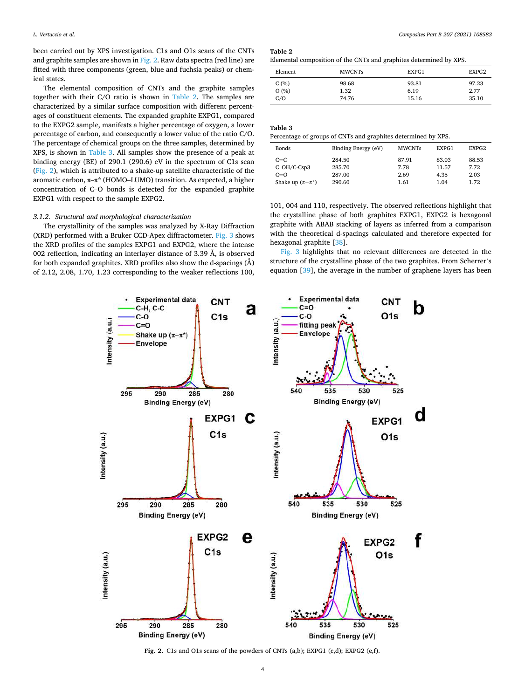been carried out by XPS investigation. C1s and O1s scans of the CNTs and graphite samples are shown in Fig. 2. Raw data spectra (red line) are fitted with three components (green, blue and fuchsia peaks) or chemical states.

The elemental composition of CNTs and the graphite samples together with their C/O ratio is shown in Table 2. The samples are characterized by a similar surface composition with different percentages of constituent elements. The expanded graphite EXPG1, compared to the EXPG2 sample, manifests a higher percentage of oxygen, a lower percentage of carbon, and consequently a lower value of the ratio C/O. The percentage of chemical groups on the three samples, determined by XPS, is shown in Table 3. All samples show the presence of a peak at binding energy (BE) of 290.1 (290.6) eV in the spectrum of C1s scan (Fig. 2), which is attributed to a shake-up satellite characteristic of the aromatic carbon, π–π\* (HOMO–LUMO) transition. As expected, a higher concentration of C–O bonds is detected for the expanded graphite EXPG1 with respect to the sample EXPG2.

# *3.1.2. Structural and morphological characterization*

The crystallinity of the samples was analyzed by X-Ray Diffraction (XRD) performed with a Bruker CCD-Apex diffractometer. [Fig. 3](#page-4-0) shows the XRD profiles of the samples EXPG1 and EXPG2, where the intense 002 reflection, indicating an interlayer distance of 3.39 Å, is observed for both expanded graphites. XRD profiles also show the d-spacings  $(\AA)$ of 2.12, 2.08, 1.70, 1.23 corresponding to the weaker reflections 100,

**Table 2** 

Elemental composition of the CNTs and graphites determined by XPS.

| Element | <b>MWCNTs</b> | EXPG1 | EXPG2 |
|---------|---------------|-------|-------|
| C(%)    | 98.68         | 93.81 | 97.23 |
| O(%)    | 1.32          | 6.19  | 2.77  |
| C/O     | 74.76         | 15.16 | 35.10 |

# **Table 3**

Percentage of groups of CNTs and graphites determined by XPS.

| Bonds                  | Binding Energy (eV) | <b>MWCNTs</b> | EXPG1 | EXPG <sub>2</sub> |
|------------------------|---------------------|---------------|-------|-------------------|
| $C=C$                  | 284.50              | 87.91         | 83.03 | 88.53             |
| $C-OH/C-Csp3$          | 285.70              | 7.78          | 11.57 | 7.72              |
| $C=O$                  | 287.00              | 2.69          | 4.35  | 2.03              |
| Shake up $(\pi-\pi^*)$ | 290.60              | 1.61          | 1.04  | 1.72              |

101, 004 and 110, respectively. The observed reflections highlight that the crystalline phase of both graphites EXPG1, EXPG2 is hexagonal graphite with ABAB stacking of layers as inferred from a comparison with the theoretical d-spacings calculated and therefore expected for hexagonal graphite [\[38](#page-12-0)].

[Fig. 3](#page-4-0) highlights that no relevant differences are detected in the structure of the crystalline phase of the two graphites. From Scherrer's equation [[39](#page-12-0)], the average in the number of graphene layers has been



**Fig. 2.** C1s and O1s scans of the powders of CNTs (a,b); EXPG1 (c,d); EXPG2 (e,f).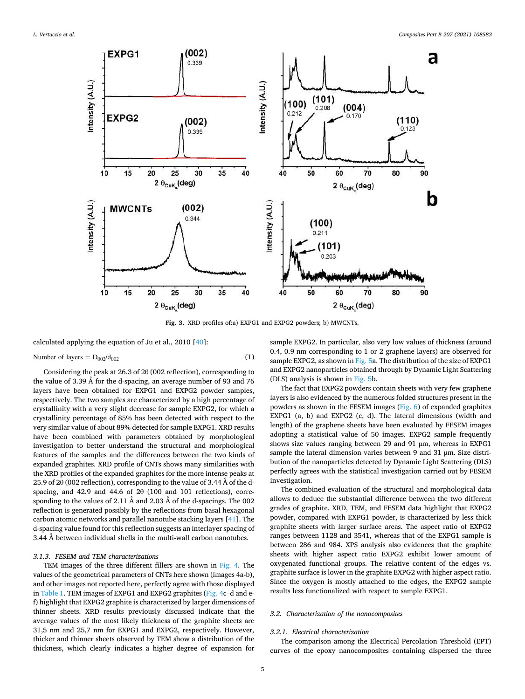<span id="page-4-0"></span>

**Fig. 3.** XRD profiles of:a) EXPG1 and EXPG2 powders; b) MWCNTs.

calculated applying the equation of Ju et al., 2010 [[40\]](#page-12-0):

Number of layers = 
$$
D_{002}/d_{002}
$$
 (1)

Considering the peak at 26.3 of 2θ (002 reflection), corresponding to the value of 3.39 Å for the d-spacing, an average number of 93 and 76 layers have been obtained for EXPG1 and EXPG2 powder samples, respectively. The two samples are characterized by a high percentage of crystallinity with a very slight decrease for sample EXPG2, for which a crystallinity percentage of 85% has been detected with respect to the very similar value of about 89% detected for sample EXPG1. XRD results have been combined with parameters obtained by morphological investigation to better understand the structural and morphological features of the samples and the differences between the two kinds of expanded graphites. XRD profile of CNTs shows many similarities with the XRD profiles of the expanded graphites for the more intense peaks at 25.9 of 2 $\theta$  (002 reflection), corresponding to the value of 3.44 Å of the dspacing, and 42.9 and 44.6 of 2θ (100 and 101 reflections), corresponding to the values of 2.11 Å and 2.03 Å of the d-spacings. The 002 reflection is generated possibly by the reflections from basal hexagonal carbon atomic networks and parallel nanotube stacking layers [[41\]](#page-12-0). The d-spacing value found for this reflection suggests an interlayer spacing of 3.44 Å between individual shells in the multi-wall carbon nanotubes.

# *3.1.3. FESEM and TEM characterizations*

TEM images of the three different fillers are shown in [Fig. 4](#page-5-0). The values of the geometrical parameters of CNTs here shown (images 4a-b), and other images not reported here, perfectly agree with those displayed in [Table 1](#page-1-0). TEM images of EXPG1 and EXPG2 graphites ([Fig. 4](#page-5-0)c–d and ef) highlight that EXPG2 graphite is characterized by larger dimensions of thinner sheets. XRD results previously discussed indicate that the average values of the most likely thickness of the graphite sheets are 31,5 nm and 25,7 nm for EXPG1 and EXPG2, respectively. However, thicker and thinner sheets observed by TEM show a distribution of the thickness, which clearly indicates a higher degree of expansion for

sample EXPG2. In particular, also very low values of thickness (around 0.4, 0.9 nm corresponding to 1 or 2 graphene layers) are observed for sample EXPG2, as shown in [Fig. 5a](#page-6-0). The distribution of the size of EXPG1 and EXPG2 nanoparticles obtained through by Dynamic Light Scattering (DLS) analysis is shown in [Fig. 5b](#page-6-0).

The fact that EXPG2 powders contain sheets with very few graphene layers is also evidenced by the numerous folded structures present in the powders as shown in the FESEM images ([Fig. 6\)](#page-6-0) of expanded graphites EXPG1 (a, b) and EXPG2 (c, d). The lateral dimensions (width and length) of the graphene sheets have been evaluated by FESEM images adopting a statistical value of 50 images. EXPG2 sample frequently shows size values ranging between 29 and 91 μm, whereas in EXPG1 sample the lateral dimension varies between 9 and 31 μm. Size distribution of the nanoparticles detected by Dynamic Light Scattering (DLS) perfectly agrees with the statistical investigation carried out by FESEM investigation.

The combined evaluation of the structural and morphological data allows to deduce the substantial difference between the two different grades of graphite. XRD, TEM, and FESEM data highlight that EXPG2 powder, compared with EXPG1 powder, is characterized by less thick graphite sheets with larger surface areas. The aspect ratio of EXPG2 ranges between 1128 and 3541, whereas that of the EXPG1 sample is between 286 and 984. XPS analysis also evidences that the graphite sheets with higher aspect ratio EXPG2 exhibit lower amount of oxygenated functional groups. The relative content of the edges vs. graphite surface is lower in the graphite EXPG2 with higher aspect ratio. Since the oxygen is mostly attached to the edges, the EXPG2 sample results less functionalized with respect to sample EXPG1.

# *3.2. Characterization of the nanocomposites*

#### *3.2.1. Electrical characterization*

The comparison among the Electrical Percolation Threshold (EPT) curves of the epoxy nanocomposites containing dispersed the three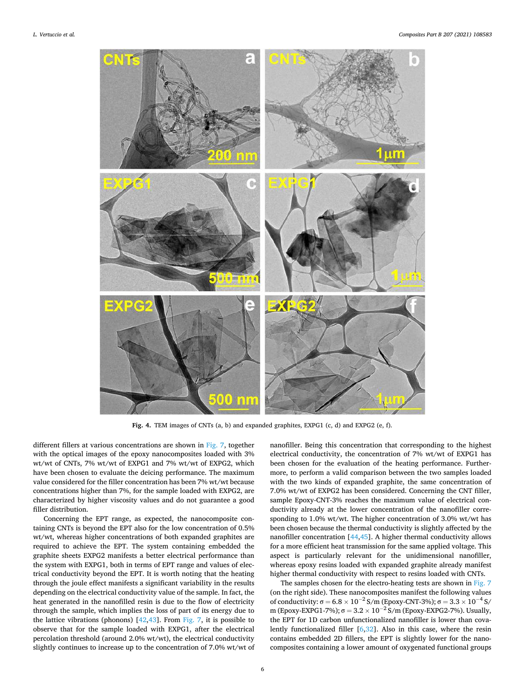<span id="page-5-0"></span>

**Fig. 4.** TEM images of CNTs (a, b) and expanded graphites, EXPG1 (c, d) and EXPG2 (e, f).

different fillers at various concentrations are shown in [Fig. 7](#page-7-0), together with the optical images of the epoxy nanocomposites loaded with 3% wt/wt of CNTs, 7% wt/wt of EXPG1 and 7% wt/wt of EXPG2, which have been chosen to evaluate the deicing performance. The maximum value considered for the filler concentration has been 7% wt/wt because concentrations higher than 7%, for the sample loaded with EXPG2, are characterized by higher viscosity values and do not guarantee a good filler distribution.

Concerning the EPT range, as expected, the nanocomposite containing CNTs is beyond the EPT also for the low concentration of 0.5% wt/wt, whereas higher concentrations of both expanded graphites are required to achieve the EPT. The system containing embedded the graphite sheets EXPG2 manifests a better electrical performance than the system with EXPG1, both in terms of EPT range and values of electrical conductivity beyond the EPT. It is worth noting that the heating through the joule effect manifests a significant variability in the results depending on the electrical conductivity value of the sample. In fact, the heat generated in the nanofilled resin is due to the flow of electricity through the sample, which implies the loss of part of its energy due to the lattice vibrations (phonons)  $[42, 43]$  $[42, 43]$  $[42, 43]$ . From [Fig. 7](#page-7-0), it is possible to observe that for the sample loaded with EXPG1, after the electrical percolation threshold (around 2.0% wt/wt), the electrical conductivity slightly continues to increase up to the concentration of 7.0% wt/wt of

nanofiller. Being this concentration that corresponding to the highest electrical conductivity, the concentration of 7% wt/wt of EXPG1 has been chosen for the evaluation of the heating performance. Furthermore, to perform a valid comparison between the two samples loaded with the two kinds of expanded graphite, the same concentration of 7.0% wt/wt of EXPG2 has been considered. Concerning the CNT filler, sample Epoxy-CNT-3% reaches the maximum value of electrical conductivity already at the lower concentration of the nanofiller corresponding to 1.0% wt/wt. The higher concentration of 3.0% wt/wt has been chosen because the thermal conductivity is slightly affected by the nanofiller concentration [[44,45\]](#page-12-0). A higher thermal conductivity allows for a more efficient heat transmission for the same applied voltage. This aspect is particularly relevant for the unidimensional nanofiller, whereas epoxy resins loaded with expanded graphite already manifest higher thermal conductivity with respect to resins loaded with CNTs.

The samples chosen for the electro-heating tests are shown in [Fig. 7](#page-7-0)  (on the right side). These nanocomposites manifest the following values of conductivity:  $\sigma = 6.8 \times 10^{-2}$  S/m (Epoxy-CNT-3%);  $\sigma = 3.3 \times 10^{-4}$  S/ m (Epoxy-EXPG1-7%);  $\sigma = 3.2 \times 10^{-2}$  S/m (Epoxy-EXPG2-7%). Usually, the EPT for 1D carbon unfunctionalized nanofiller is lower than covalently functionalized filler [\[6,32\]](#page-12-0). Also in this case, where the resin contains embedded 2D fillers, the EPT is slightly lower for the nanocomposites containing a lower amount of oxygenated functional groups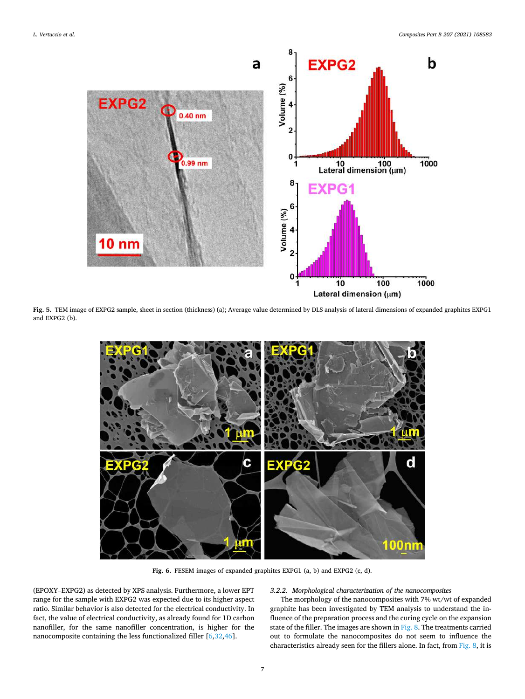<span id="page-6-0"></span>

**Fig. 5.** TEM image of EXPG2 sample, sheet in section (thickness) (a); Average value determined by DLS analysis of lateral dimensions of expanded graphites EXPG1 and EXPG2 (b).



**Fig. 6.** FESEM images of expanded graphites EXPG1 (a, b) and EXPG2 (c, d).

(EPOXY–EXPG2) as detected by XPS analysis. Furthermore, a lower EPT range for the sample with EXPG2 was expected due to its higher aspect ratio. Similar behavior is also detected for the electrical conductivity. In fact, the value of electrical conductivity, as already found for 1D carbon nanofiller, for the same nanofiller concentration, is higher for the nanocomposite containing the less functionalized filler [[6,32,46\]](#page-12-0).

# *3.2.2. Morphological characterization of the nanocomposites*

The morphology of the nanocomposites with 7% wt/wt of expanded graphite has been investigated by TEM analysis to understand the influence of the preparation process and the curing cycle on the expansion state of the filler. The images are shown in [Fig. 8](#page-7-0). The treatments carried out to formulate the nanocomposites do not seem to influence the characteristics already seen for the fillers alone. In fact, from [Fig. 8,](#page-7-0) it is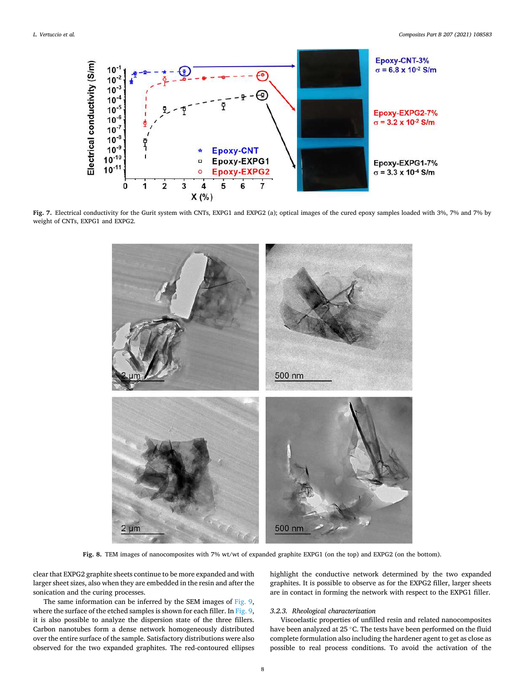<span id="page-7-0"></span>

**Fig. 7.** Electrical conductivity for the Gurit system with CNTs, EXPG1 and EXPG2 (a); optical images of the cured epoxy samples loaded with 3%, 7% and 7% by weight of CNTs, EXPG1 and EXPG2.



Fig. 8. TEM images of nanocomposites with 7% wt/wt of expanded graphite EXPG1 (on the top) and EXPG2 (on the bottom).

clear that EXPG2 graphite sheets continue to be more expanded and with larger sheet sizes, also when they are embedded in the resin and after the sonication and the curing processes.

The same information can be inferred by the SEM images of [Fig. 9](#page-8-0), where the surface of the etched samples is shown for each filler. In [Fig. 9](#page-8-0), it is also possible to analyze the dispersion state of the three fillers. Carbon nanotubes form a dense network homogeneously distributed over the entire surface of the sample. Satisfactory distributions were also observed for the two expanded graphites. The red-contoured ellipses highlight the conductive network determined by the two expanded graphites. It is possible to observe as for the EXPG2 filler, larger sheets are in contact in forming the network with respect to the EXPG1 filler.

## *3.2.3. Rheological characterization*

Viscoelastic properties of unfilled resin and related nanocomposites have been analyzed at 25 ◦C. The tests have been performed on the fluid complete formulation also including the hardener agent to get as close as possible to real process conditions. To avoid the activation of the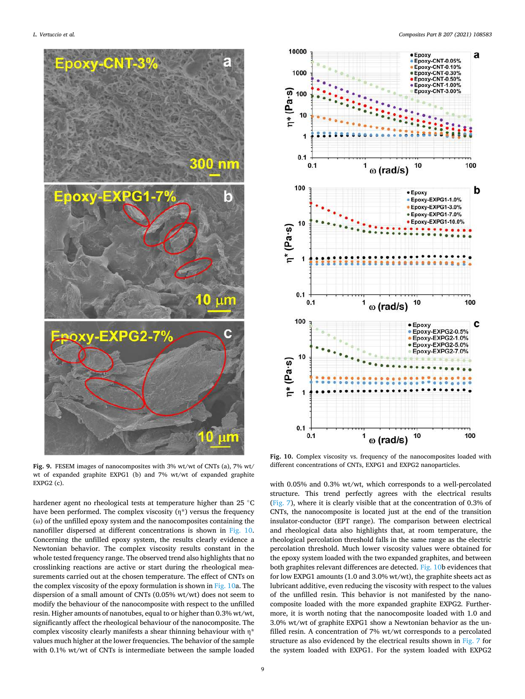<span id="page-8-0"></span>

**Fig. 9.** FESEM images of nanocomposites with 3% wt/wt of CNTs (a), 7% wt/ wt of expanded graphite EXPG1 (b) and 7% wt/wt of expanded graphite EXPG2 (c).

hardener agent no rheological tests at temperature higher than 25 ◦C have been performed. The complex viscosity  $(\eta^*)$  versus the frequency (ω) of the unfilled epoxy system and the nanocomposites containing the nanofiller dispersed at different concentrations is shown in Fig. 10. Concerning the unfilled epoxy system, the results clearly evidence a Newtonian behavior. The complex viscosity results constant in the whole tested frequency range. The observed trend also highlights that no crosslinking reactions are active or start during the rheological measurements carried out at the chosen temperature. The effect of CNTs on the complex viscosity of the epoxy formulation is shown in Fig. 10a. The dispersion of a small amount of CNTs (0.05% wt/wt) does not seem to modify the behaviour of the nanocomposite with respect to the unfilled resin. Higher amounts of nanotubes, equal to or higher than 0.3% wt/wt, significantly affect the rheological behaviour of the nanocomposite. The complex viscosity clearly manifests a shear thinning behaviour with η\* values much higher at the lower frequencies. The behavior of the sample with 0.1% wt/wt of CNTs is intermediate between the sample loaded



Fig. 10. Complex viscosity vs. frequency of the nanocomposites loaded with different concentrations of CNTs, EXPG1 and EXPG2 nanoparticles.

with 0.05% and 0.3% wt/wt, which corresponds to a well-percolated structure. This trend perfectly agrees with the electrical results ([Fig. 7\)](#page-7-0), where it is clearly visible that at the concentration of 0.3% of CNTs, the nanocomposite is located just at the end of the transition insulator-conductor (EPT range). The comparison between electrical and rheological data also highlights that, at room temperature, the rheological percolation threshold falls in the same range as the electric percolation threshold. Much lower viscosity values were obtained for the epoxy system loaded with the two expanded graphites, and between both graphites relevant differences are detected. Fig. 10b evidences that for low EXPG1 amounts (1.0 and 3.0% wt/wt), the graphite sheets act as lubricant additive, even reducing the viscosity with respect to the values of the unfilled resin. This behavior is not manifested by the nanocomposite loaded with the more expanded graphite EXPG2. Furthermore, it is worth noting that the nanocomposite loaded with 1.0 and 3.0% wt/wt of graphite EXPG1 show a Newtonian behavior as the unfilled resin. A concentration of 7% wt/wt corresponds to a percolated structure as also evidenced by the electrical results shown in [Fig. 7](#page-7-0) for the system loaded with EXPG1. For the system loaded with EXPG2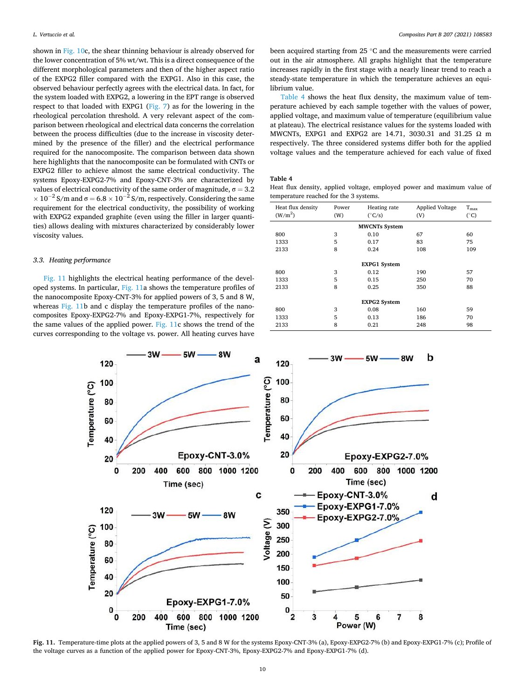shown in [Fig. 10](#page-8-0)c, the shear thinning behaviour is already observed for the lower concentration of 5% wt/wt. This is a direct consequence of the different morphological parameters and then of the higher aspect ratio of the EXPG2 filler compared with the EXPG1. Also in this case, the observed behaviour perfectly agrees with the electrical data. In fact, for the system loaded with EXPG2, a lowering in the EPT range is observed respect to that loaded with EXPG1 ([Fig. 7\)](#page-7-0) as for the lowering in the rheological percolation threshold. A very relevant aspect of the comparison between rheological and electrical data concerns the correlation between the process difficulties (due to the increase in viscosity determined by the presence of the filler) and the electrical performance required for the nanocomposite. The comparison between data shown here highlights that the nanocomposite can be formulated with CNTs or EXPG2 filler to achieve almost the same electrical conductivity. The systems Epoxy-EXPG2-7% and Epoxy-CNT-3% are characterized by values of electrical conductivity of the same order of magnitude,  $\sigma = 3.2$  $\times 10^{-2}$  S/m and  $\sigma = 6.8 \times 10^{-2}$  S/m, respectively. Considering the same requirement for the electrical conductivity, the possibility of working with EXPG2 expanded graphite (even using the filler in larger quantities) allows dealing with mixtures characterized by considerably lower viscosity values.

#### *3.3. Heating performance*

Fig. 11 highlights the electrical heating performance of the developed systems. In particular, Fig. 11a shows the temperature profiles of the nanocomposite Epoxy-CNT-3% for applied powers of 3, 5 and 8 W, whereas Fig. 11b and c display the temperature profiles of the nanocomposites Epoxy-EXPG2-7% and Epoxy-EXPG1-7%, respectively for the same values of the applied power. Fig. 11c shows the trend of the curves corresponding to the voltage vs. power. All heating curves have

been acquired starting from 25 ◦C and the measurements were carried out in the air atmosphere. All graphs highlight that the temperature increases rapidly in the first stage with a nearly linear trend to reach a steady-state temperature in which the temperature achieves an equilibrium value.

Table 4 shows the heat flux density, the maximum value of temperature achieved by each sample together with the values of power, applied voltage, and maximum value of temperature (equilibrium value at plateau). The electrical resistance values for the systems loaded with MWCNTs, EXPG1 and EXPG2 are 14.71, 3030.31 and 31.25 Ω m respectively. The three considered systems differ both for the applied voltage values and the temperature achieved for each value of fixed

# **Table 4**

Heat flux density, applied voltage, employed power and maximum value of temperature reached for the 3 systems.

| Heat flux density<br>(W/m <sup>2</sup> ) | Power<br>(W) | Heating rate<br>$(^{\circ}C/s)$ | <b>Applied Voltage</b><br>(V) | $T_{\rm max}$<br>$(^\circ C)$ |  |  |
|------------------------------------------|--------------|---------------------------------|-------------------------------|-------------------------------|--|--|
| <b>MWCNTs System</b>                     |              |                                 |                               |                               |  |  |
| 800                                      | 3            | 0.10                            | 67                            | 60                            |  |  |
| 1333                                     | 5            | 0.17                            | 83                            | 75                            |  |  |
| 2133                                     | 8            | 0.24                            | 108                           | 109                           |  |  |
|                                          |              |                                 |                               |                               |  |  |
|                                          |              | <b>EXPG1</b> System             |                               |                               |  |  |
| 800                                      | 3            | 0.12                            | 190                           | 57                            |  |  |
| 1333                                     | 5            | 0.15                            | 250                           | 70                            |  |  |
| 2133                                     | 8            | 0.25                            | 350                           | 88                            |  |  |
|                                          |              |                                 |                               |                               |  |  |
| <b>EXPG2 System</b>                      |              |                                 |                               |                               |  |  |
| 800                                      | 3            | 0.08                            | 160                           | 59                            |  |  |
| 1333                                     | 5            | 0.13                            | 186                           | 70                            |  |  |
| 2133                                     | 8            | 0.21                            | 248                           | 98                            |  |  |



**Fig. 11.** Temperature-time plots at the applied powers of 3, 5 and 8 W for the systems Epoxy-CNT-3% (a), Epoxy-EXPG2-7% (b) and Epoxy-EXPG1-7% (c); Profile of the voltage curves as a function of the applied power for Epoxy-CNT-3%, Epoxy-EXPG2-7% and Epoxy-EXPG1-7% (d).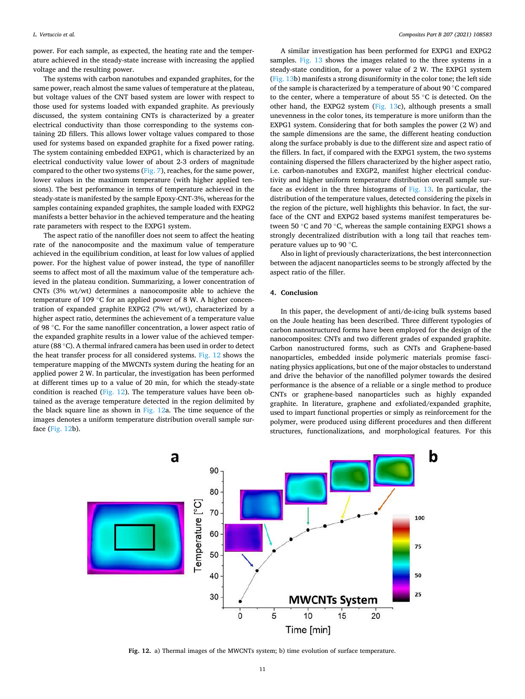power. For each sample, as expected, the heating rate and the temperature achieved in the steady-state increase with increasing the applied voltage and the resulting power.

The systems with carbon nanotubes and expanded graphites, for the same power, reach almost the same values of temperature at the plateau, but voltage values of the CNT based system are lower with respect to those used for systems loaded with expanded graphite. As previously discussed, the system containing CNTs is characterized by a greater electrical conductivity than those corresponding to the systems containing 2D fillers. This allows lower voltage values compared to those used for systems based on expanded graphite for a fixed power rating. The system containing embedded EXPG1, which is characterized by an electrical conductivity value lower of about 2-3 orders of magnitude compared to the other two systems [\(Fig. 7\)](#page-7-0), reaches, for the same power, lower values in the maximum temperature (with higher applied tensions). The best performance in terms of temperature achieved in the steady-state is manifested by the sample Epoxy-CNT-3%, whereas for the samples containing expanded graphites, the sample loaded with EXPG2 manifests a better behavior in the achieved temperature and the heating rate parameters with respect to the EXPG1 system.

The aspect ratio of the nanofiller does not seem to affect the heating rate of the nanocomposite and the maximum value of temperature achieved in the equilibrium condition, at least for low values of applied power. For the highest value of power instead, the type of nanofiller seems to affect most of all the maximum value of the temperature achieved in the plateau condition. Summarizing, a lower concentration of CNTs (3% wt/wt) determines a nanocomposite able to achieve the temperature of 109 ℃ for an applied power of 8 W. A higher concentration of expanded graphite EXPG2 (7% wt/wt), characterized by a higher aspect ratio, determines the achievement of a temperature value of 98 ◦C. For the same nanofiller concentration, a lower aspect ratio of the expanded graphite results in a lower value of the achieved temperature (88 ◦C). A thermal infrared camera has been used in order to detect the heat transfer process for all considered systems. Fig. 12 shows the temperature mapping of the MWCNTs system during the heating for an applied power 2 W. In particular, the investigation has been performed at different times up to a value of 20 min, for which the steady-state condition is reached (Fig. 12). The temperature values have been obtained as the average temperature detected in the region delimited by the black square line as shown in Fig. 12a. The time sequence of the images denotes a uniform temperature distribution overall sample surface (Fig. 12b).

A similar investigation has been performed for EXPG1 and EXPG2 samples. [Fig. 13](#page-11-0) shows the images related to the three systems in a steady-state condition, for a power value of 2 W. The EXPG1 system ([Fig. 13](#page-11-0)b) manifests a strong disuniformity in the color tone; the left side of the sample is characterized by a temperature of about 90 ◦C compared to the center, where a temperature of about 55 ◦C is detected. On the other hand, the EXPG2 system ([Fig. 13](#page-11-0)c), although presents a small unevenness in the color tones, its temperature is more uniform than the EXPG1 system. Considering that for both samples the power (2 W) and the sample dimensions are the same, the different heating conduction along the surface probably is due to the different size and aspect ratio of the fillers. In fact, if compared with the EXPG1 system, the two systems containing dispersed the fillers characterized by the higher aspect ratio, i.e. carbon-nanotubes and EXGP2, manifest higher electrical conductivity and higher uniform temperature distribution overall sample surface as evident in the three histograms of [Fig. 13.](#page-11-0) In particular, the distribution of the temperature values, detected considering the pixels in the region of the picture, well highlights this behavior. In fact, the surface of the CNT and EXPG2 based systems manifest temperatures between 50 ◦C and 70 ◦C, whereas the sample containing EXPG1 shows a strongly decentralized distribution with a long tail that reaches temperature values up to 90 ◦C.

Also in light of previously characterizations, the best interconnection between the adjacent nanoparticles seems to be strongly affected by the aspect ratio of the filler.

# **4. Conclusion**

In this paper, the development of anti/de-icing bulk systems based on the Joule heating has been described. Three different typologies of carbon nanostructured forms have been employed for the design of the nanocomposites: CNTs and two different grades of expanded graphite. Carbon nanostructured forms, such as CNTs and Graphene-based nanoparticles, embedded inside polymeric materials promise fascinating physics applications, but one of the major obstacles to understand and drive the behavior of the nanofilled polymer towards the desired performance is the absence of a reliable or a single method to produce CNTs or graphene-based nanoparticles such as highly expanded graphite. In literature, graphene and exfoliated/expanded graphite, used to impart functional properties or simply as reinforcement for the polymer, were produced using different procedures and then different structures, functionalizations, and morphological features. For this



**Fig. 12.** a) Thermal images of the MWCNTs system; b) time evolution of surface temperature.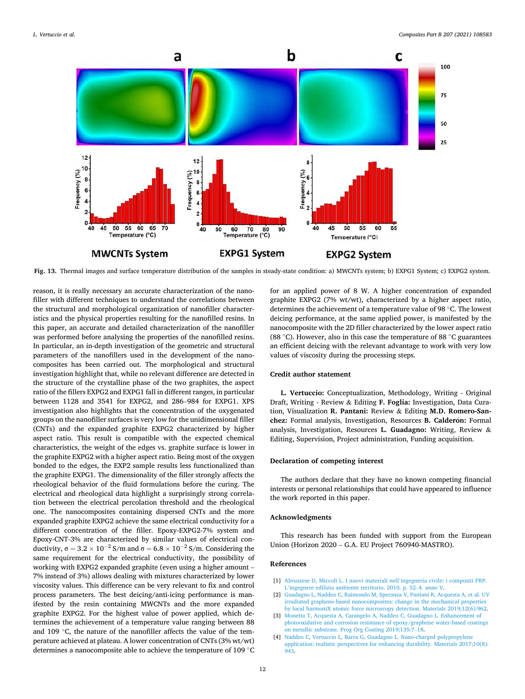<span id="page-11-0"></span>

**Fig. 13.** Thermal images and surface temperature distribution of the samples in steady-state condition: a) MWCNTs system; b) EXPG1 System; c) EXPG2 system.

reason, it is really necessary an accurate characterization of the nanofiller with different techniques to understand the correlations between the structural and morphological organization of nanofiller characteristics and the physical properties resulting for the nanofilled resins. In this paper, an accurate and detailed characterization of the nanofiller was performed before analysing the properties of the nanofilled resins. In particular, an in-depth investigation of the geometric and structural parameters of the nanofillers used in the development of the nanocomposites has been carried out. The morphological and structural investigation highlight that, while no relevant difference are detected in the structure of the crystalline phase of the two graphites, the aspect ratio of the fillers EXPG2 and EXPG1 fall in different ranges, in particular between 1128 and 3541 for EXPG2, and 286–984 for EXPG1. XPS investigation also highlights that the concentration of the oxygenated groups on the nanofiller surfaces is very low for the unidimensional filler (CNTs) and the expanded graphite EXPG2 characterized by higher aspect ratio. This result is compatible with the expected chemical characteristics, the weight of the edges vs. graphite surface is lower in the graphite EXPG2 with a higher aspect ratio. Being most of the oxygen bonded to the edges, the EXP2 sample results less functionalized than the graphite EXPG1. The dimensionality of the filler strongly affects the rheological behavior of the fluid formulations before the curing. The electrical and rheological data highlight a surprisingly strong correlation between the electrical percolation threshold and the rheological one. The nanocomposites containing dispersed CNTs and the more expanded graphite EXPG2 achieve the same electrical conductivity for a different concentration of the filler. Epoxy-EXPG2-7% system and Epoxy-CNT-3% are characterized by similar values of electrical conductivity,  $\sigma = 3.2 \times 10^{-2}$  S/m and  $\sigma = 6.8 \times 10^{-2}$  S/m. Considering the same requirement for the electrical conductivity, the possibility of working with EXPG2 expanded graphite (even using a higher amount – 7% instead of 3%) allows dealing with mixtures characterized by lower viscosity values. This difference can be very relevant to fix and control process parameters. The best deicing/anti-icing performance is manifested by the resin containing MWCNTs and the more expanded graphite EXPG2. For the highest value of power applied, which determines the achievement of a temperature value ranging between 88 and 109 ◦C, the nature of the nanofiller affects the value of the temperature achieved at plateau. A lower concentration of CNTs (3% wt/wt) determines a nanocomposite able to achieve the temperature of 109 ◦C for an applied power of 8 W. A higher concentration of expanded graphite EXPG2 (7% wt/wt), characterized by a higher aspect ratio, determines the achievement of a temperature value of 98 ◦C. The lowest deicing performance, at the same applied power, is manifested by the nanocomposite with the 2D filler characterized by the lower aspect ratio (88  $\degree$ C). However, also in this case the temperature of 88  $\degree$ C guarantees an efficient deicing with the relevant advantage to work with very low values of viscosity during the processing steps.

#### **Credit author statement**

**L. Vertuccio:** Conceptualization, Methodology, Writing - Original Draft, Writing - Review & Editing **F. Foglia:** Investigation, Data Curation, Visualization **R. Pantani:** Review & Editing **M.D. Romero-San**chez: Formal analysis, Investigation, Resources **B. Calderón:** Formal analysis, Investigation, Resources **L. Guadagno:** Writing, Review & Editing, Supervision, Project administration, Funding acquisition.

## **Declaration of competing interest**

The authors declare that they have no known competing financial interests or personal relationships that could have appeared to influence the work reported in this paper.

# **Acknowledgments**

This research has been funded with support from the European Union (Horizon 2020 – G.A. EU Project 760940-MASTRO).

# **References**

- [1] [Abruzzese D, Miccoli L. I nuovi materiali nell](http://refhub.elsevier.com/S1359-8368(20)33629-5/sref1)'ingegneria civile: i compositi FRP.
- L'[ingegnere edilizia ambiente territorio. 2010. p. 52](http://refhub.elsevier.com/S1359-8368(20)33629-5/sref1)–4. anno V. [2] [Guadagno L, Naddeo C, Raimondo M, Speranza V, Pantani R, Acquesta A, et al. UV](http://refhub.elsevier.com/S1359-8368(20)33629-5/sref2)  [irradiated graphene-based nanocomposites: change in the mechanical properties](http://refhub.elsevier.com/S1359-8368(20)33629-5/sref2)  [by local harmoniX atomic force microscopy detection. Materials 2019;12\(6\):962](http://refhub.elsevier.com/S1359-8368(20)33629-5/sref2).
- [3] [Monetta T, Acquesta A, Carangelo A, Naddeo C, Guadagno L. Enhancement of](http://refhub.elsevier.com/S1359-8368(20)33629-5/sref3) [photooxidative and corrosion resistance of epoxy/graphene water-based coatings](http://refhub.elsevier.com/S1359-8368(20)33629-5/sref3)  [on metallic substrate. Prog Org Coating 2019;135:7](http://refhub.elsevier.com/S1359-8368(20)33629-5/sref3)–18.
- [4] [Naddeo C, Vertuccio L, Barra G, Guadagno L. Nano-charged polypropylene](http://refhub.elsevier.com/S1359-8368(20)33629-5/sref4)  [application: realistic perspectives for enhancing durability. Materials 2017;10\(8\):](http://refhub.elsevier.com/S1359-8368(20)33629-5/sref4)  [943.](http://refhub.elsevier.com/S1359-8368(20)33629-5/sref4)